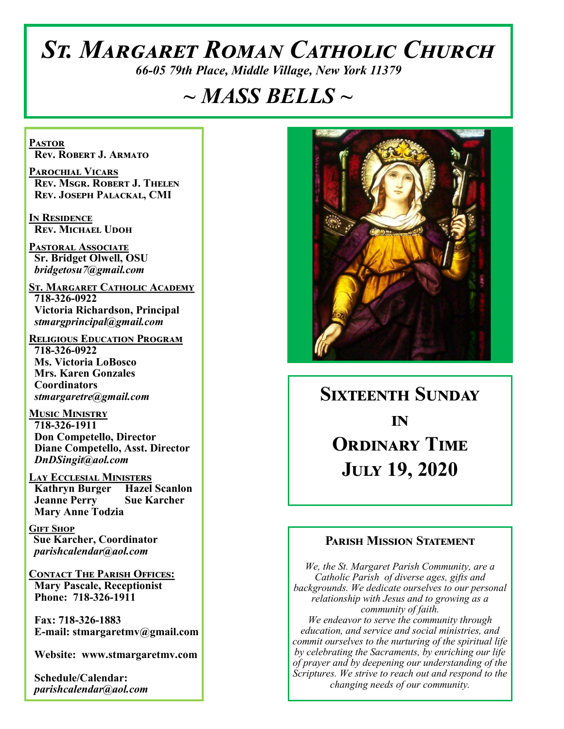# *St. Margaret Roman Catholic Church*

*66-05 79th Place, Middle Village, New York 11379*

# *~ MASS BELLS ~*

**Pastor Rev. Robert J. Armato**

**Parochial Vicars Rev. Msgr. Robert J. Thelen Rev. Joseph Palackal, CMI**

**In Residence Rev. Michael Udoh**

**Pastoral Associate Sr. Bridget Olwell, OSU**  *bridgetosu7@gmail.com*

**St. Margaret Catholic Academy 718-326-0922 Victoria Richardson, Principal**  *stmargprincipal@gmail.com*

**Religious Education Program 718-326-0922 Ms. Victoria LoBosco Mrs. Karen Gonzales Coordinators** *stmargaretre@gmail.com*

**Music Ministry 718-326-1911 Don Competello, Director Diane Competello, Asst. Director** *DnDSingit@aol.com*

**Lay Ecclesial Ministers Kathryn Burger Hazel Scanlon Jeanne Perry Sue Karcher Mary Anne Todzia**

**Gift Shop Sue Karcher, Coordinator** *parishcalendar@aol.com*

**Contact The Parish Offices: Mary Pascale, Receptionist Phone: 718-326-1911** 

 **Fax: 718-326-1883 E-mail: stmargaretmv@gmail.com**

 **Website: www.stmargaretmv.com**

 **Schedule/Calendar:** *parishcalendar@aol.com* 



**Sixteenth Sunday in Ordinary Time July 19, 2020** 

### **Parish Mission Statement**

*We, the St. Margaret Parish Community, are a Catholic Parish of diverse ages, gifts and backgrounds. We dedicate ourselves to our personal relationship with Jesus and to growing as a community of faith. We endeavor to serve the community through education, and service and social ministries, and commit ourselves to the nurturing of the spiritual life by celebrating the Sacraments, by enriching our life of prayer and by deepening our understanding of the Scriptures. We strive to reach out and respond to the changing needs of our community.*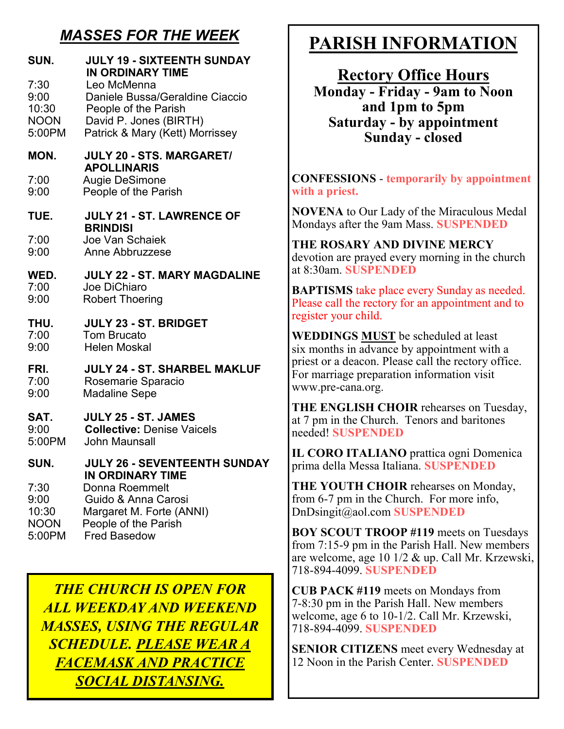## *MASSES FOR THE WEEK*

| SUN.<br>7:30<br>9:00<br>10:30<br><b>NOON</b><br>5:00PM | <b>JULY 19 - SIXTEENTH SUNDAY</b><br><b>IN ORDINARY TIME</b><br>Leo McMenna<br>Daniele Bussa/Geraldine Ciaccio<br>People of the Parish<br>David P. Jones (BIRTH)<br>Patrick & Mary (Kett) Morrissey |
|--------------------------------------------------------|-----------------------------------------------------------------------------------------------------------------------------------------------------------------------------------------------------|
| MON.                                                   | <b>JULY 20 - STS, MARGARET/</b><br><b>APOLLINARIS</b>                                                                                                                                               |
| 7:00                                                   | <b>Augie DeSimone</b>                                                                                                                                                                               |
| 9:00                                                   | People of the Parish                                                                                                                                                                                |
| TUE.                                                   | <b>JULY 21 - ST. LAWRENCE OF</b><br><b>BRINDISI</b>                                                                                                                                                 |
| 7:00                                                   | Joe Van Schaiek                                                                                                                                                                                     |
| 9:00                                                   | Anne Abbruzzese                                                                                                                                                                                     |
| WED.                                                   | <b>JULY 22 - ST. MARY MAGDALINE</b>                                                                                                                                                                 |
| 7:00                                                   | Joe DiChiaro                                                                                                                                                                                        |
| 9:00                                                   | <b>Robert Thoering</b>                                                                                                                                                                              |
| THU.                                                   | JULY 23 - ST. BRIDGET                                                                                                                                                                               |
| 7:00                                                   | <b>Tom Brucato</b>                                                                                                                                                                                  |
| 9:00                                                   | <b>Helen Moskal</b>                                                                                                                                                                                 |
| FRI.                                                   | <b>JULY 24 - ST. SHARBEL MAKLUF</b>                                                                                                                                                                 |
| 7:00                                                   | Rosemarie Sparacio                                                                                                                                                                                  |
| 9:00                                                   | <b>Madaline Sepe</b>                                                                                                                                                                                |
| SAT.                                                   | JULY 25 - ST. JAMES                                                                                                                                                                                 |
| 9:00                                                   | <b>Collective: Denise Vaicels</b>                                                                                                                                                                   |
| 5:00PM                                                 | <b>John Maunsall</b>                                                                                                                                                                                |
| SUN.                                                   | <b>JULY 26 - SEVENTEENTH SUNDAY</b><br>IN ORDINARY TIME                                                                                                                                             |
| 7:30                                                   | Donna Roemmelt                                                                                                                                                                                      |
| 9:00                                                   | Guido & Anna Carosi                                                                                                                                                                                 |
| 10:30                                                  | Margaret M. Forte (ANNI)                                                                                                                                                                            |
| <b>NOON</b>                                            | People of the Parish                                                                                                                                                                                |
| 5:00PM                                                 | <b>Fred Basedow</b>                                                                                                                                                                                 |

*THE CHURCH IS OPEN FOR ALL WEEKDAY AND WEEKEND MASSES, USING THE REGULAR SCHEDULE. PLEASE WEAR A FACEMASK AND PRACTICE SOCIAL DISTANSING.*

## **PARISH INFORMATION**

**Rectory Office Hours Monday - Friday - 9am to Noon and 1pm to 5pm Saturday - by appointment Sunday - closed**

**CONFESSIONS** - **temporarily by appointment with a priest.** 

**NOVENA** to Our Lady of the Miraculous Medal Mondays after the 9am Mass. **SUSPENDED**

**THE ROSARY AND DIVINE MERCY** devotion are prayed every morning in the church at 8:30am. **SUSPENDED**

**BAPTISMS** take place every Sunday as needed. Please call the rectory for an appointment and to register your child.

**WEDDINGS MUST** be scheduled at least six months in advance by appointment with a priest or a deacon. Please call the rectory office. For marriage preparation information visit www.pre-cana.org.

**THE ENGLISH CHOIR** rehearses on Tuesday, at 7 pm in the Church. Tenors and baritones needed! **SUSPENDED**

**IL CORO ITALIANO** prattica ogni Domenica prima della Messa Italiana. **SUSPENDED**

**THE YOUTH CHOIR** rehearses on Monday, from 6-7 pm in the Church. For more info, DnDsingit@aol.com **SUSPENDED**

**BOY SCOUT TROOP #119** meets on Tuesdays from 7:15-9 pm in the Parish Hall. New members are welcome, age 10 1/2 & up. Call Mr. Krzewski, 718-894-4099. **SUSPENDED**

**CUB PACK #119** meets on Mondays from 7-8:30 pm in the Parish Hall. New members welcome, age 6 to 10-1/2. Call Mr. Krzewski, 718-894-4099. **SUSPENDED**

**SENIOR CITIZENS** meet every Wednesday at 12 Noon in the Parish Center. **SUSPENDED**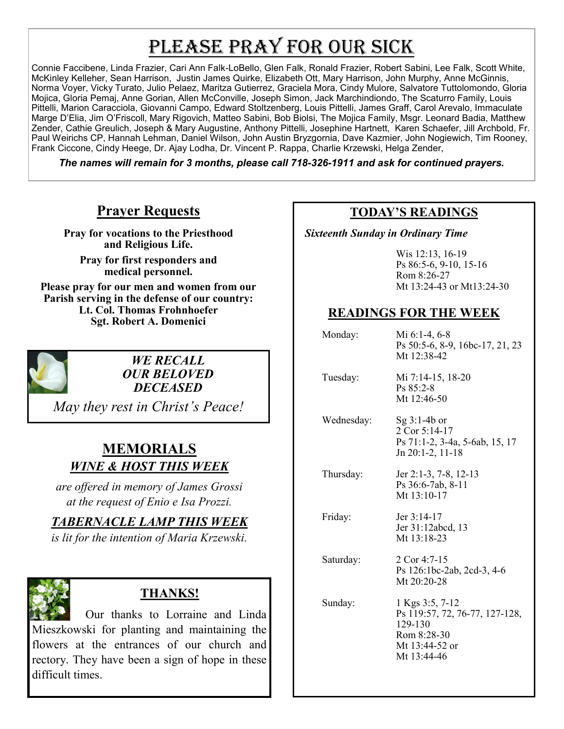# PLEASE PRAY FOR OUR SICK

Connie Faccibene, Linda Frazier, Cari Ann Falk-LoBello, Glen Falk, Ronald Frazier, Robert Sabini, Lee Falk, Scott White, McKinley Kelleher, Sean Harrison, Justin James Quirke, Elizabeth Ott, Mary Harrison, John Murphy, Anne McGinnis, Norma Voyer, Vicky Turato, Julio Pelaez, Maritza Gutierrez, Graciela Mora, Cindy Mulore, Salvatore Tuttolomondo, Gloria Mojica, Gloria Pemaj, Anne Gorian, Allen McConville, Joseph Simon, Jack Marchindiondo, The Scaturro Family, Louis Pittelli, Marion Caracciola, Giovanni Campo, Edward Stoltzenberg, Louis Pittelli, James Graff, Carol Arevalo, Immaculate Marge D'Elia, Jim O'Friscoll, Mary Rigovich, Matteo Sabini, Bob Biolsi, The Mojica Family, Msgr. Leonard Badia, Matthew Zender, Cathie Greulich, Joseph & Mary Augustine, Anthony Pittelli, Josephine Hartnett, Karen Schaefer, Jill Archbold, Fr. Paul Weirichs CP, Hannah Lehman, Daniel Wilson, John Austin Bryzgornia, Dave Kazmier, John Nogiewich, Tim Rooney, Frank Ciccone, Cindy Heege, Dr. Ajay Lodha, Dr. Vincent P. Rappa, Charlie Krzewski, Helga Zender,

*The names will remain for 3 months, please call 718-326-1911 and ask for continued prayers.*

## **Prayer Requests**

**Pray for vocations to the Priesthood and Religious Life.** 

**Pray for first responders and medical personnel.**

**Please pray for our men and women from our Parish serving in the defense of our country: Lt. Col. Thomas Frohnhoefer Sgt. Robert A. Domenici** 



*WE RECALL OUR BELOVED DECEASED*

*May they rest in Christ's Peace!*

## **MEMORIALS** *WINE & HOST THIS WEEK*

*are offered in memory of James Grossi at the request of Enio e Isa Prozzi.*

*TABERNACLE LAMP THIS WEEK*

*is lit for the intention of Maria Krzewski.* 



## **THANKS!**

 Our thanks to Lorraine and Linda Mieszkowski for planting and maintaining the flowers at the entrances of our church and rectory. They have been a sign of hope in these difficult times.

## **TODAY'S READINGS**

 *Sixteenth Sunday in Ordinary Time*

Wis 12:13, 16-19 Ps 86:5-6, 9-10, 15-16 Rom 8:26-27 Mt 13:24-43 or Mt13:24-30

## **READINGS FOR THE WEEK**

| Monday:    | Mi 6:1-4, 6-8<br>Ps 50:5-6, 8-9, 16bc-17, 21, 23<br>Mt 12:38-42                                              |
|------------|--------------------------------------------------------------------------------------------------------------|
| Tuesday:   | Mi 7:14-15, 18-20<br>$Ps 85:2-8$<br>Mt 12:46-50                                                              |
| Wednesday: | Sg $3:1-4b$ or<br>2 Cor 5:14-17<br>Ps 71:1-2, 3-4a, 5-6ab, 15, 17<br>Jn 20:1-2, 11-18                        |
| Thursday:  | Jer 2:1-3, 7-8, 12-13<br>Ps 36:6-7ab, 8-11<br>Mt 13:10-17                                                    |
| Friday:    | Jer $3:14-17$<br>Jer 31:12abcd, 13<br>Mt 13:18-23                                                            |
| Saturday:  | 2 Cor 4:7-15<br>Ps 126:1bc-2ab, 2cd-3, 4-6<br>Mt 20:20-28                                                    |
| Sunday:    | 1 Kgs 3:5, 7-12<br>Ps 119:57, 72, 76-77, 127-128,<br>129-130<br>Rom 8:28-30<br>Mt 13:44-52 or<br>Mt 13:44-46 |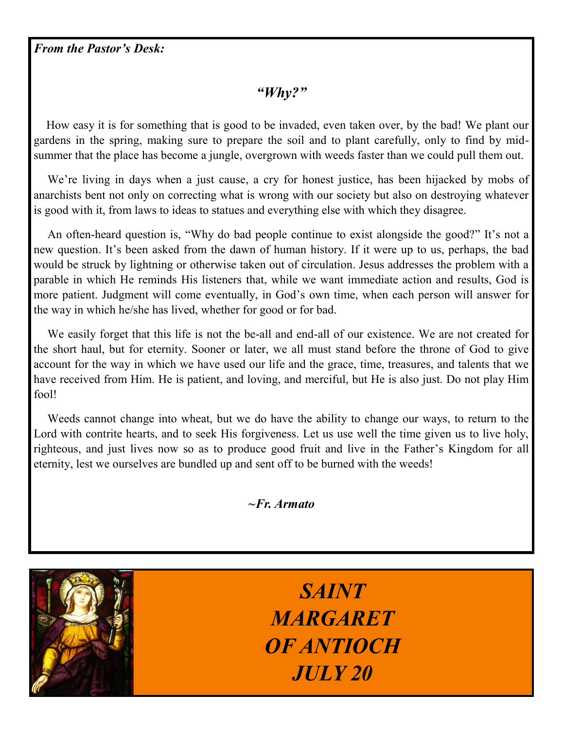*From the Pastor's Desk:*

## *"Why?"*

 How easy it is for something that is good to be invaded, even taken over, by the bad! We plant our gardens in the spring, making sure to prepare the soil and to plant carefully, only to find by midsummer that the place has become a jungle, overgrown with weeds faster than we could pull them out.

 We're living in days when a just cause, a cry for honest justice, has been hijacked by mobs of anarchists bent not only on correcting what is wrong with our society but also on destroying whatever is good with it, from laws to ideas to statues and everything else with which they disagree.

 An often-heard question is, "Why do bad people continue to exist alongside the good?" It's not a new question. It's been asked from the dawn of human history. If it were up to us, perhaps, the bad would be struck by lightning or otherwise taken out of circulation. Jesus addresses the problem with a parable in which He reminds His listeners that, while we want immediate action and results, God is more patient. Judgment will come eventually, in God's own time, when each person will answer for the way in which he/she has lived, whether for good or for bad.

 We easily forget that this life is not the be-all and end-all of our existence. We are not created for the short haul, but for eternity. Sooner or later, we all must stand before the throne of God to give account for the way in which we have used our life and the grace, time, treasures, and talents that we have received from Him. He is patient, and loving, and merciful, but He is also just. Do not play Him fool!

 Weeds cannot change into wheat, but we do have the ability to change our ways, to return to the Lord with contrite hearts, and to seek His forgiveness. Let us use well the time given us to live holy, righteous, and just lives now so as to produce good fruit and live in the Father's Kingdom for all eternity, lest we ourselves are bundled up and sent off to be burned with the weeds!

*~Fr. Armato*



*SAINT MARGARET OF ANTIOCH JULY 20*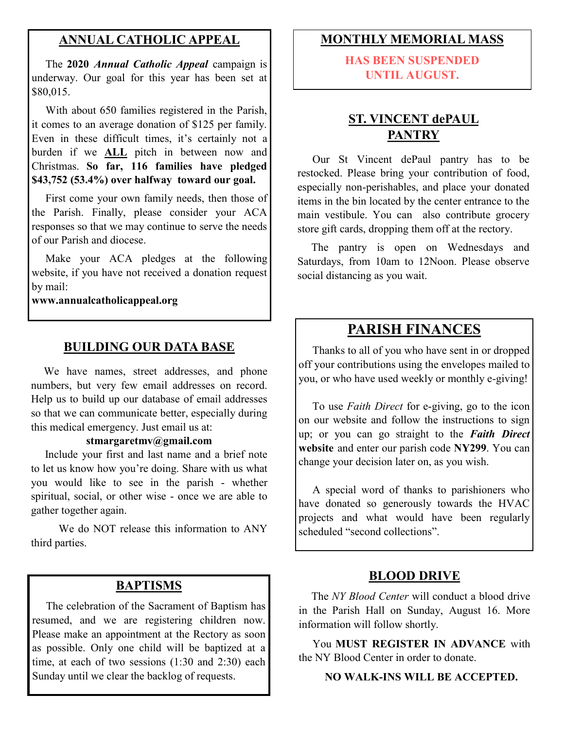### **ANNUAL CATHOLIC APPEAL**

 The **2020** *Annual Catholic Appeal* campaign is underway. Our goal for this year has been set at \$80,015.

 With about 650 families registered in the Parish, it comes to an average donation of \$125 per family. Even in these difficult times, it's certainly not a burden if we **ALL** pitch in between now and Christmas. **So far, 116 families have pledged \$43,752 (53.4%) over halfway toward our goal.**

First come your own family needs, then those of the Parish. Finally, please consider your ACA responses so that we may continue to serve the needs of our Parish and diocese.

 Make your ACA pledges at the following website, if you have not received a donation request by mail:

**www.annualcatholicappeal.org** 

#### **BUILDING OUR DATA BASE**

 We have names, street addresses, and phone numbers, but very few email addresses on record. Help us to build up our database of email addresses so that we can communicate better, especially during this medical emergency. Just email us at:

#### **stmargaretmv@gmail.com**

 Include your first and last name and a brief note to let us know how you're doing. Share with us what you would like to see in the parish - whether spiritual, social, or other wise - once we are able to gather together again.

We do NOT release this information to ANY third parties.

#### **BAPTISMS**

 The celebration of the Sacrament of Baptism has resumed, and we are registering children now. Please make an appointment at the Rectory as soon as possible. Only one child will be baptized at a time, at each of two sessions (1:30 and 2:30) each Sunday until we clear the backlog of requests.

#### **MONTHLY MEMORIAL MASS**

**HAS BEEN SUSPENDED UNTIL AUGUST.**

## **ST. VINCENT dePAUL PANTRY**

 Our St Vincent dePaul pantry has to be restocked. Please bring your contribution of food, especially non-perishables, and place your donated items in the bin located by the center entrance to the main vestibule. You can also contribute grocery store gift cards, dropping them off at the rectory.

 The pantry is open on Wednesdays and Saturdays, from 10am to 12Noon. Please observe social distancing as you wait.

## **PARISH FINANCES**

 Thanks to all of you who have sent in or dropped off your contributions using the envelopes mailed to you, or who have used weekly or monthly e-giving!

 To use *Faith Direct* for e-giving, go to the icon on our website and follow the instructions to sign up; or you can go straight to the *Faith Direct*  **website** and enter our parish code **NY299**. You can change your decision later on, as you wish.

 A special word of thanks to parishioners who have donated so generously towards the HVAC projects and what would have been regularly scheduled "second collections".

#### **BLOOD DRIVE**

 The *NY Blood Center* will conduct a blood drive in the Parish Hall on Sunday, August 16. More information will follow shortly.

 You **MUST REGISTER IN ADVANCE** with the NY Blood Center in order to donate.

#### **NO WALK-INS WILL BE ACCEPTED.**